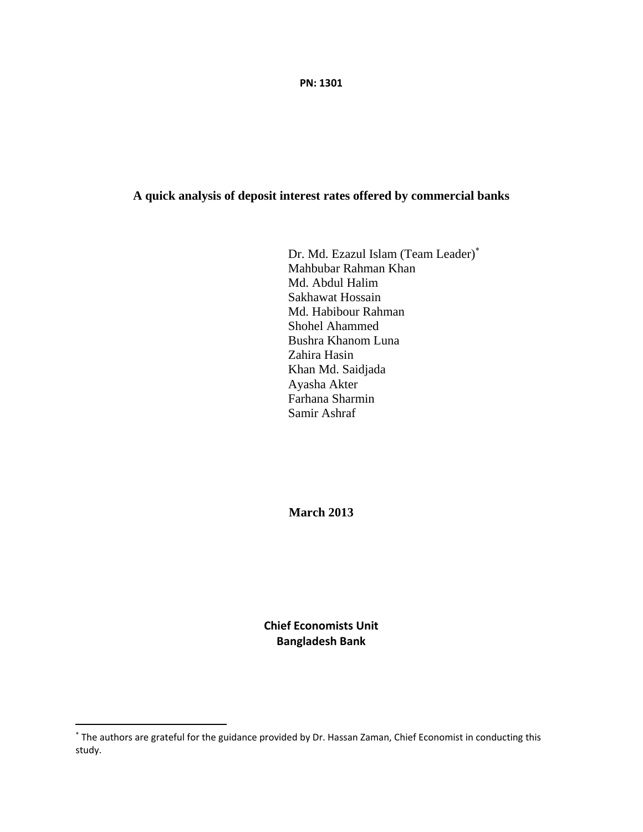**PN: 1301**

# **A quick analysis of deposit interest rates offered by commercial banks**

Dr. Md. Ezazul Islam (Team Leader)<sup>∗</sup> Mahbubar Rahman Khan Md. Abdul Halim Sakhawat Hossain Md. Habibour Rahman Shohel Ahammed Bushra Khanom Luna Zahira Hasin Khan Md. Saidjada Ayasha Akter Farhana Sharmin Samir Ashraf

**March 2013** 

**Chief Economists Unit Bangladesh Bank**

<sup>∗</sup> The authors are grateful for the guidance provided by Dr. Hassan Zaman, Chief Economist in conducting this study.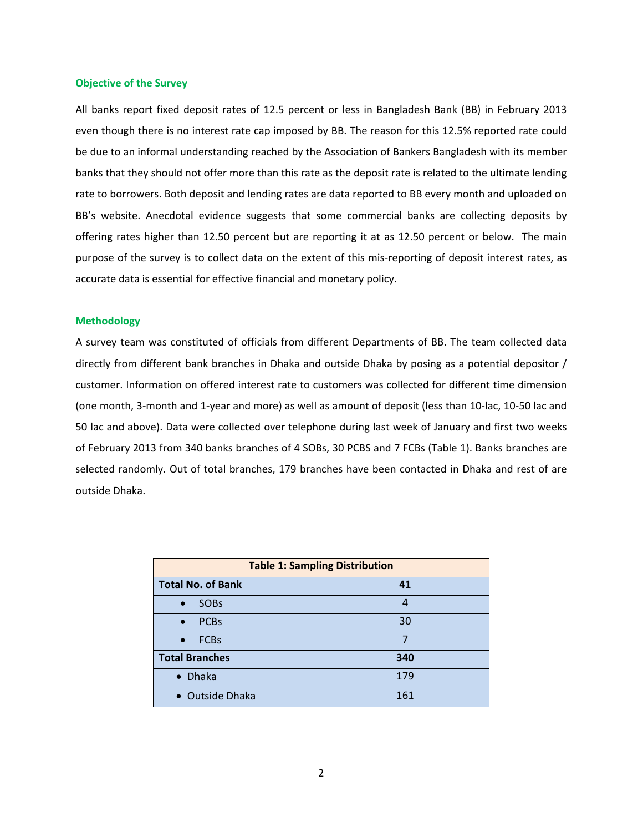#### **Objective of the Survey**

All banks report fixed deposit rates of 12.5 percent or less in Bangladesh Bank (BB) in February 2013 even though there is no interest rate cap imposed by BB. The reason for this 12.5% reported rate could be due to an informal understanding reached by the Association of Bankers Bangladesh with its member banks that they should not offer more than this rate as the deposit rate is related to the ultimate lending rate to borrowers. Both deposit and lending rates are data reported to BB every month and uploaded on BB's website. Anecdotal evidence suggests that some commercial banks are collecting deposits by offering rates higher than 12.50 percent but are reporting it at as 12.50 percent or below. The main purpose of the survey is to collect data on the extent of this mis‐reporting of deposit interest rates, as accurate data is essential for effective financial and monetary policy.

### **Methodology**

A survey team was constituted of officials from different Departments of BB. The team collected data directly from different bank branches in Dhaka and outside Dhaka by posing as a potential depositor / customer. Information on offered interest rate to customers was collected for different time dimension (one month, 3‐month and 1‐year and more) as well as amount of deposit (less than 10‐lac, 10‐50 lac and 50 lac and above). Data were collected over telephone during last week of January and first two weeks of February 2013 from 340 banks branches of 4 SOBs, 30 PCBS and 7 FCBs (Table 1). Banks branches are selected randomly. Out of total branches, 179 branches have been contacted in Dhaka and rest of are outside Dhaka.

| <b>Table 1: Sampling Distribution</b> |     |  |  |  |
|---------------------------------------|-----|--|--|--|
| <b>Total No. of Bank</b>              | 41  |  |  |  |
| <b>SOBs</b><br>$\bullet$              | 4   |  |  |  |
| <b>PCBs</b><br>$\bullet$              | 30  |  |  |  |
| <b>FCBs</b><br>$\bullet$              | 7   |  |  |  |
| <b>Total Branches</b>                 | 340 |  |  |  |
| • Dhaka                               | 179 |  |  |  |
| • Outside Dhaka                       | 161 |  |  |  |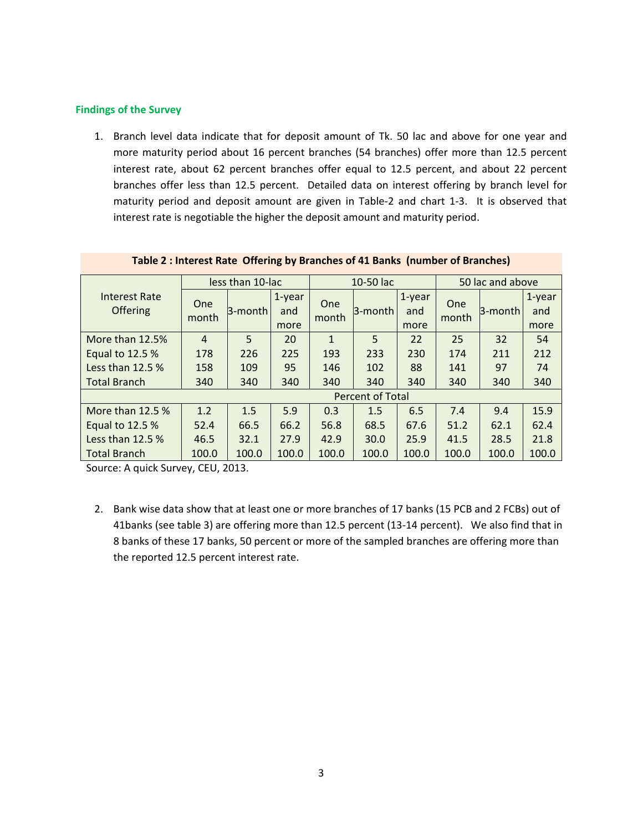## **Findings of the Survey**

1. Branch level data indicate that for deposit amount of Tk. 50 lac and above for one year and more maturity period about 16 percent branches (54 branches) offer more than 12.5 percent interest rate, about 62 percent branches offer equal to 12.5 percent, and about 22 percent branches offer less than 12.5 percent. Detailed data on interest offering by branch level for maturity period and deposit amount are given in Table-2 and chart 1-3. It is observed that interest rate is negotiable the higher the deposit amount and maturity period.

|                                         | less than 10-lac    |            | 10-50 lac             |              |         | 50 lac and above      |              |            |                       |
|-----------------------------------------|---------------------|------------|-----------------------|--------------|---------|-----------------------|--------------|------------|-----------------------|
| <b>Interest Rate</b><br><b>Offering</b> | <b>One</b><br>month | $3$ -month | 1-year<br>and<br>more | One<br>month | 3-month | 1-year<br>and<br>more | One<br>month | $3$ -month | 1-year<br>and<br>more |
| More than 12.5%                         | 4                   | 5          | 20                    | $\mathbf{1}$ | 5       | 22                    | 25           | 32         | 54                    |
| Equal to 12.5 %                         | 178                 | 226        | 225                   | 193          | 233     | 230                   | 174          | 211        | 212                   |
| Less than 12.5 %                        | 158                 | 109        | 95                    | 146          | 102     | 88                    | 141          | 97         | 74                    |
| <b>Total Branch</b>                     | 340                 | 340        | 340                   | 340          | 340     | 340                   | 340          | 340        | 340                   |
| <b>Percent of Total</b>                 |                     |            |                       |              |         |                       |              |            |                       |
| More than $12.5%$                       | 1.2                 | 1.5        | 5.9                   | 0.3          | 1.5     | 6.5                   | 7.4          | 9.4        | 15.9                  |
| Equal to 12.5 %                         | 52.4                | 66.5       | 66.2                  | 56.8         | 68.5    | 67.6                  | 51.2         | 62.1       | 62.4                  |
| Less than 12.5 %                        | 46.5                | 32.1       | 27.9                  | 42.9         | 30.0    | 25.9                  | 41.5         | 28.5       | 21.8                  |
| <b>Total Branch</b>                     | 100.0               | 100.0      | 100.0                 | 100.0        | 100.0   | 100.0                 | 100.0        | 100.0      | 100.0                 |

### **Table 2 : Interest Rate Offering by Branches of 41 Banks (number of Branches)**

Source: A quick Survey, CEU, 2013.

2. Bank wise data show that at least one or more branches of 17 banks (15 PCB and 2 FCBs) out of 41banks (see table 3) are offering more than 12.5 percent (13-14 percent). We also find that in 8 banks of these 17 banks, 50 percent or more of the sampled branches are offering more than the reported 12.5 percent interest rate.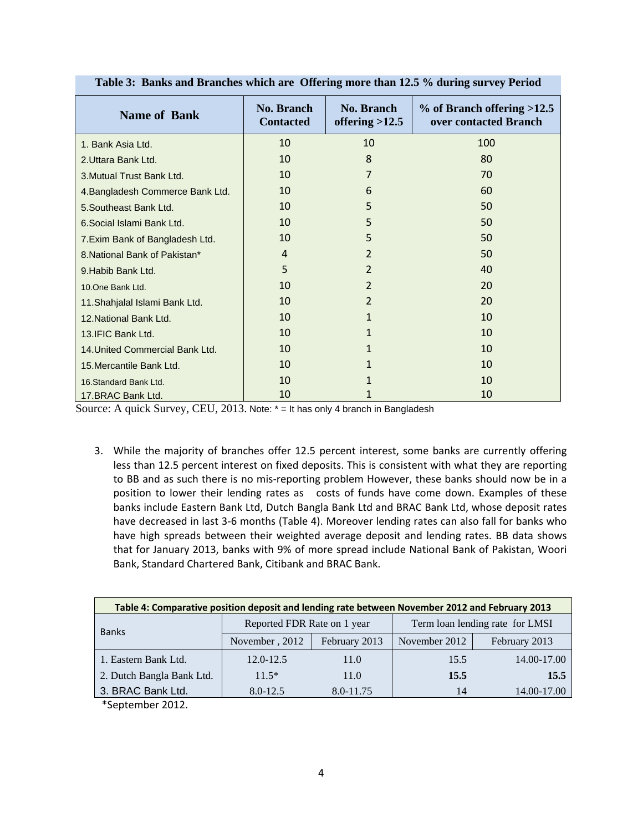| <b>Name of Bank</b>              | <b>No. Branch</b><br><b>Contacted</b> | <b>No. Branch</b><br>offering $>12.5$ | $%$ of Branch offering >12.5<br>over contacted Branch |
|----------------------------------|---------------------------------------|---------------------------------------|-------------------------------------------------------|
| 1. Bank Asia Ltd.                | 10                                    | 10                                    | 100                                                   |
| 2. Uttara Bank Ltd.              | 10                                    | 8                                     | 80                                                    |
| 3. Mutual Trust Bank Ltd.        | 10                                    |                                       | 70                                                    |
| 4. Bangladesh Commerce Bank Ltd. | 10                                    | 6                                     | 60                                                    |
| 5. Southeast Bank Ltd.           | 10                                    | 5                                     | 50                                                    |
| 6. Social Islami Bank Ltd.       | 10                                    | 5                                     | 50                                                    |
| 7. Exim Bank of Bangladesh Ltd.  | 10                                    | 5                                     | 50                                                    |
| 8. National Bank of Pakistan*    | 4                                     | 2                                     | 50                                                    |
| 9. Habib Bank Ltd.               | 5                                     | $\overline{2}$                        | 40                                                    |
| 10. One Bank Ltd.                | 10                                    | 2                                     | 20                                                    |
| 11. Shahjalal Islami Bank Ltd.   | 10                                    | 2                                     | 20                                                    |
| 12. National Bank Ltd.           | 10                                    | 1                                     | 10                                                    |
| 13. IFIC Bank Ltd.               | 10                                    | 1                                     | 10                                                    |
| 14. United Commercial Bank Ltd.  | 10                                    | 1                                     | 10                                                    |
| 15. Mercantile Bank Ltd.         | 10                                    | 1                                     | 10                                                    |
| 16. Standard Bank Ltd.           | 10                                    |                                       | 10                                                    |
| 17.BRAC Bank Ltd.                | 10                                    |                                       | 10                                                    |

**Table 3: Banks and Branches which are Offering more than 12.5 % during survey Period** 

Source: A quick Survey, CEU, 2013. Note: \* = It has only 4 branch in Bangladesh

3. While the majority of branches offer 12.5 percent interest, some banks are currently offering less than 12.5 percent interest on fixed deposits. This is consistent with what they are reporting to BB and as such there is no mis‐reporting problem However, these banks should now be in a position to lower their lending rates as costs of funds have come down. Examples of these banks include Eastern Bank Ltd, Dutch Bangla Bank Ltd and BRAC Bank Ltd, whose deposit rates have decreased in last 3-6 months (Table 4). Moreover lending rates can also fall for banks who have high spreads between their weighted average deposit and lending rates. BB data shows that for January 2013, banks with 9% of more spread include National Bank of Pakistan, Woori Bank, Standard Chartered Bank, Citibank and BRAC Bank.

| Table 4: Comparative position deposit and lending rate between November 2012 and February 2013 |                             |               |                                 |               |  |  |
|------------------------------------------------------------------------------------------------|-----------------------------|---------------|---------------------------------|---------------|--|--|
| <b>Banks</b>                                                                                   | Reported FDR Rate on 1 year |               | Term loan lending rate for LMSI |               |  |  |
|                                                                                                | November, 2012              | February 2013 | November 2012                   | February 2013 |  |  |
| 1. Eastern Bank Ltd.                                                                           | $12.0 - 12.5$               | 11.0          | 15.5                            | 14.00-17.00   |  |  |
| 2. Dutch Bangla Bank Ltd.                                                                      | $11.5*$                     | 11.0          | 15.5                            | 15.5          |  |  |
| 3. BRAC Bank Ltd.                                                                              | $8.0 - 12.5$                | 8.0-11.75     | 14                              | 14.00-17.00   |  |  |

\*September 2012.